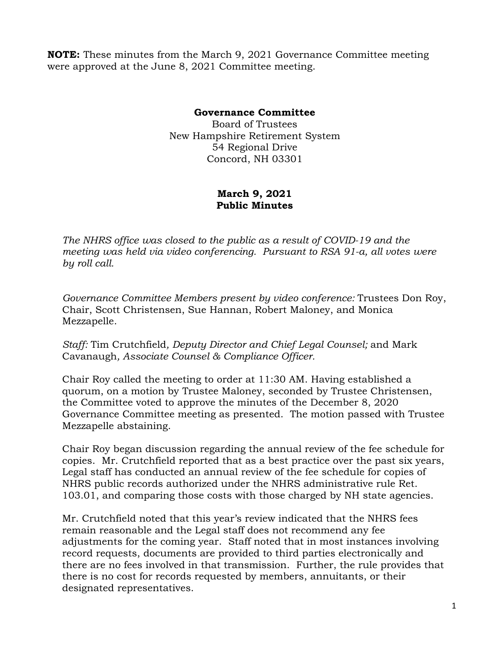**NOTE:** These minutes from the March 9, 2021 Governance Committee meeting were approved at the June 8, 2021 Committee meeting.

## **Governance Committee**

Board of Trustees New Hampshire Retirement System 54 Regional Drive Concord, NH 03301

## **March 9, 2021 Public Minutes**

*The NHRS office was closed to the public as a result of COVID-19 and the meeting was held via video conferencing. Pursuant to RSA 91-a, all votes were by roll call.*

*Governance Committee Members present by video conference:* Trustees Don Roy, Chair, Scott Christensen, Sue Hannan, Robert Maloney, and Monica Mezzapelle.

*Staff:* Tim Crutchfield*, Deputy Director and Chief Legal Counsel;* and Mark Cavanaugh*, Associate Counsel & Compliance Officer.* 

Chair Roy called the meeting to order at 11:30 AM. Having established a quorum, on a motion by Trustee Maloney, seconded by Trustee Christensen, the Committee voted to approve the minutes of the December 8, 2020 Governance Committee meeting as presented. The motion passed with Trustee Mezzapelle abstaining.

Chair Roy began discussion regarding the annual review of the fee schedule for copies. Mr. Crutchfield reported that as a best practice over the past six years, Legal staff has conducted an annual review of the fee schedule for copies of NHRS public records authorized under the NHRS administrative rule Ret. 103.01, and comparing those costs with those charged by NH state agencies.

Mr. Crutchfield noted that this year's review indicated that the NHRS fees remain reasonable and the Legal staff does not recommend any fee adjustments for the coming year. Staff noted that in most instances involving record requests, documents are provided to third parties electronically and there are no fees involved in that transmission. Further, the rule provides that there is no cost for records requested by members, annuitants, or their designated representatives.